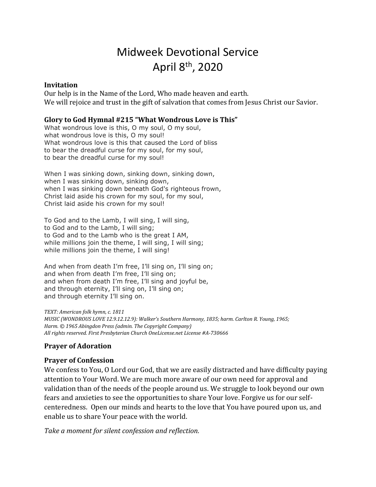# Midweek Devotional Service April 8th, 2020

#### **Invitation**

Our help is in the Name of the Lord, Who made heaven and earth. We will rejoice and trust in the gift of salvation that comes from Jesus Christ our Savior.

### **Glory to God Hymnal #215 "What Wondrous Love is This"**

What wondrous love is this, O my soul, O my soul, what wondrous love is this, O my soul! What wondrous love is this that caused the Lord of bliss to bear the dreadful curse for my soul, for my soul, to bear the dreadful curse for my soul!

When I was sinking down, sinking down, sinking down, when I was sinking down, sinking down, when I was sinking down beneath God's righteous frown, Christ laid aside his crown for my soul, for my soul, Christ laid aside his crown for my soul!

To God and to the Lamb, I will sing, I will sing, to God and to the Lamb, I will sing; to God and to the Lamb who is the great I AM, while millions join the theme, I will sing, I will sing; while millions join the theme, I will sing!

And when from death I'm free, I'll sing on, I'll sing on; and when from death I'm free, I'll sing on; and when from death I'm free, I'll sing and joyful be, and through eternity, I'll sing on, I'll sing on; and through eternity I'll sing on.

*TEXT: American folk hymn, c. 1811 MUSIC (WONDROUS LOVE 12.9.12.12.9): Walker's Southern Harmony, 1835; harm. Carlton R. Young, 1965; Harm. © 1965 Abingdon Press (admin. The Copyright Company) All rights reserved. First Presbyterian Church OneLicense.net License #A-730666*

## **Prayer of Adoration**

## **Prayer of Confession**

We confess to You, O Lord our God, that we are easily distracted and have difficulty paying attention to Your Word. We are much more aware of our own need for approval and validation than of the needs of the people around us. We struggle to look beyond our own fears and anxieties to see the opportunities to share Your love. Forgive us for our selfcenteredness. Open our minds and hearts to the love that You have poured upon us, and enable us to share Your peace with the world.

*Take a moment for silent confession and reflection.*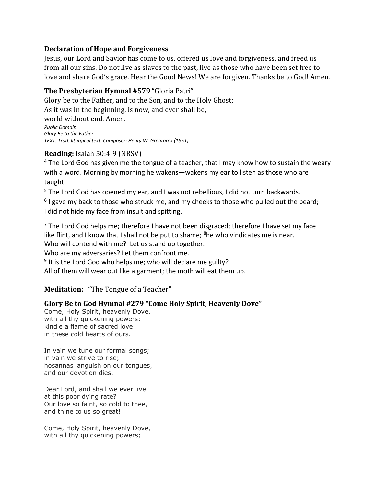## **Declaration of Hope and Forgiveness**

Jesus, our Lord and Savior has come to us, offered us love and forgiveness, and freed us from all our sins. Do not live as slaves to the past, live as those who have been set free to love and share God's grace. Hear the Good News! We are forgiven. Thanks be to God! Amen.

## **The Presbyterian Hymnal #579** "Gloria Patri"

Glory be to the Father, and to the Son, and to the Holy Ghost; As it was in the beginning, is now, and ever shall be, world without end. Amen. *Public Domain Glory Be to the Father TEXT: Trad. liturgical text. Composer: Henry W. Greatorex (1851)*

## **Reading:** Isaiah 50:4-9 (NRSV)

 $4$  The Lord God has given me the tongue of a teacher, that I may know how to sustain the weary with a word. Morning by morning he wakens—wakens my ear to listen as those who are taught.

<sup>5</sup> The Lord God has opened my ear, and I was not rebellious, I did not turn backwards.

 $6$  I gave my back to those who struck me, and my cheeks to those who pulled out the beard; I did not hide my face from insult and spitting.

<sup>7</sup> The Lord God helps me; therefore I have not been disgraced; therefore I have set my face like flint, and I know that I shall not be put to shame;  $8$ he who vindicates me is near. Who will contend with me? Let us stand up together.

Who are my adversaries? Let them confront me.

<sup>9</sup> It is the Lord God who helps me; who will declare me guilty?

All of them will wear out like a garment; the moth will eat them up.

**Meditation:** "The Tongue of a Teacher"

# **Glory Be to God Hymnal #279 "Come Holy Spirit, Heavenly Dove"**

Come, Holy Spirit, heavenly Dove, with all thy quickening powers; kindle a flame of sacred love in these cold hearts of ours.

In vain we tune our formal songs; in vain we strive to rise; hosannas languish on our tongues, and our devotion dies.

Dear Lord, and shall we ever live at this poor dying rate? Our love so faint, so cold to thee, and thine to us so great!

Come, Holy Spirit, heavenly Dove, with all thy quickening powers;